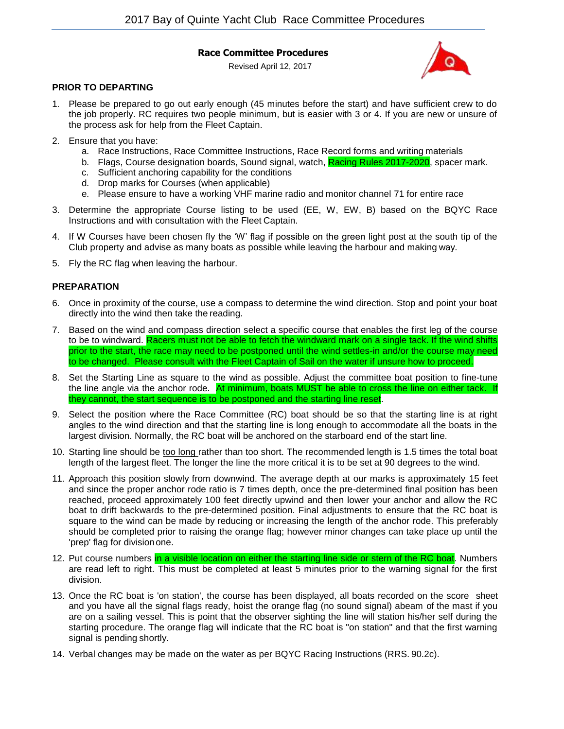### **Race Committee Procedures**

Revised April 12, 2017



# **PRIOR TO DEPARTING**

- 1. Please be prepared to go out early enough (45 minutes before the start) and have sufficient crew to do the job properly. RC requires two people minimum, but is easier with 3 or 4. If you are new or unsure of the process ask for help from the Fleet Captain.
- 2. Ensure that you have:
	- a. Race Instructions, Race Committee Instructions, Race Record forms and writing materials
	- b. Flags, Course designation boards, Sound signal, watch, Racing Rules 2017-2020, spacer mark.
	- c. Sufficient anchoring capability for the conditions
	- d. Drop marks for Courses (when applicable)
	- e. Please ensure to have a working VHF marine radio and monitor channel 71 for entire race
- 3. Determine the appropriate Course listing to be used (EE, W, EW, B) based on the BQYC Race Instructions and with consultation with the Fleet Captain.
- 4. If W Courses have been chosen fly the 'W' flag if possible on the green light post at the south tip of the Club property and advise as many boats as possible while leaving the harbour and making way.
- 5. Fly the RC flag when leaving the harbour.

## **PREPARATION**

- 6. Once in proximity of the course, use a compass to determine the wind direction. Stop and point your boat directly into the wind then take the reading.
- 7. Based on the wind and compass direction select a specific course that enables the first leg of the course to be to windward. Racers must not be able to fetch the windward mark on a single tack. If the wind shifts prior to the start, the race may need to be postponed until the wind settles-in and/or the course may need to be changed. Please consult with the Fleet Captain of Sail on the water if unsure how to proceed.
- 8. Set the Starting Line as square to the wind as possible. Adjust the committee boat position to fine-tune the line angle via the anchor rode. At minimum, boats MUST be able to cross the line on either tack. If they cannot, the start sequence is to be postponed and the starting line reset.
- 9. Select the position where the Race Committee (RC) boat should be so that the starting line is at right angles to the wind direction and that the starting line is long enough to accommodate all the boats in the largest division. Normally, the RC boat will be anchored on the starboard end of the start line.
- 10. Starting line should be too long rather than too short. The recommended length is 1.5 times the total boat length of the largest fleet. The longer the line the more critical it is to be set at 90 degrees to the wind.
- 11. Approach this position slowly from downwind. The average depth at our marks is approximately 15 feet and since the proper anchor rode ratio is 7 times depth, once the pre-determined final position has been reached, proceed approximately 100 feet directly upwind and then lower your anchor and allow the RC boat to drift backwards to the pre-determined position. Final adjustments to ensure that the RC boat is square to the wind can be made by reducing or increasing the length of the anchor rode. This preferably should be completed prior to raising the orange flag; however minor changes can take place up until the 'prep' flag for divisionone.
- 12. Put course numbers in a visible location on either the starting line side or stern of the RC boat. Numbers are read left to right. This must be completed at least 5 minutes prior to the warning signal for the first division.
- 13. Once the RC boat is 'on station', the course has been displayed, all boats recorded on the score sheet and you have all the signal flags ready, hoist the orange flag (no sound signal) abeam of the mast if you are on a sailing vessel. This is point that the observer sighting the line will station his/her self during the starting procedure. The orange flag will indicate that the RC boat is "on station" and that the first warning signal is pending shortly.
- 14. Verbal changes may be made on the water as per BQYC Racing Instructions (RRS. 90.2c).